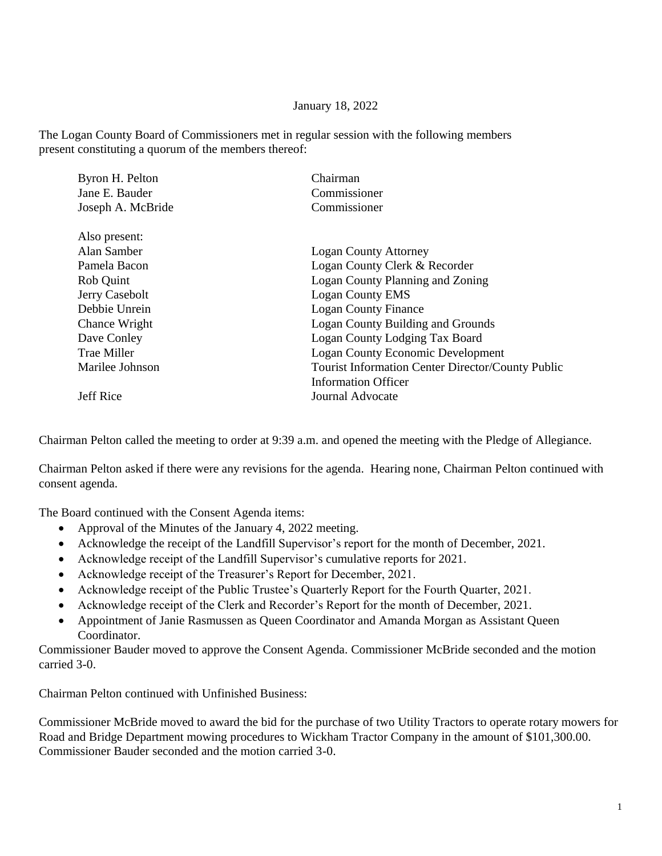## January 18, 2022

The Logan County Board of Commissioners met in regular session with the following members present constituting a quorum of the members thereof:

| Byron H. Pelton    | Chairman                                                 |
|--------------------|----------------------------------------------------------|
| Jane E. Bauder     | Commissioner                                             |
| Joseph A. McBride  | Commissioner                                             |
| Also present:      |                                                          |
| Alan Samber        | <b>Logan County Attorney</b>                             |
| Pamela Bacon       | Logan County Clerk & Recorder                            |
| Rob Quint          | Logan County Planning and Zoning                         |
| Jerry Casebolt     | <b>Logan County EMS</b>                                  |
| Debbie Unrein      | <b>Logan County Finance</b>                              |
| Chance Wright      | Logan County Building and Grounds                        |
| Dave Conley        | Logan County Lodging Tax Board                           |
| <b>Trae Miller</b> | <b>Logan County Economic Development</b>                 |
| Marilee Johnson    | <b>Tourist Information Center Director/County Public</b> |
|                    | <b>Information Officer</b>                               |
| <b>Jeff Rice</b>   | Journal Advocate                                         |

Chairman Pelton called the meeting to order at 9:39 a.m. and opened the meeting with the Pledge of Allegiance.

Chairman Pelton asked if there were any revisions for the agenda. Hearing none, Chairman Pelton continued with consent agenda.

The Board continued with the Consent Agenda items:

- Approval of the Minutes of the January 4, 2022 meeting.
- Acknowledge the receipt of the Landfill Supervisor's report for the month of December, 2021.
- Acknowledge receipt of the Landfill Supervisor's cumulative reports for 2021.
- Acknowledge receipt of the Treasurer's Report for December, 2021.
- Acknowledge receipt of the Public Trustee's Quarterly Report for the Fourth Quarter, 2021.
- Acknowledge receipt of the Clerk and Recorder's Report for the month of December, 2021.
- Appointment of Janie Rasmussen as Queen Coordinator and Amanda Morgan as Assistant Queen Coordinator.

Commissioner Bauder moved to approve the Consent Agenda. Commissioner McBride seconded and the motion carried 3-0.

Chairman Pelton continued with Unfinished Business:

Commissioner McBride moved to award the bid for the purchase of two Utility Tractors to operate rotary mowers for Road and Bridge Department mowing procedures to Wickham Tractor Company in the amount of \$101,300.00. Commissioner Bauder seconded and the motion carried 3-0.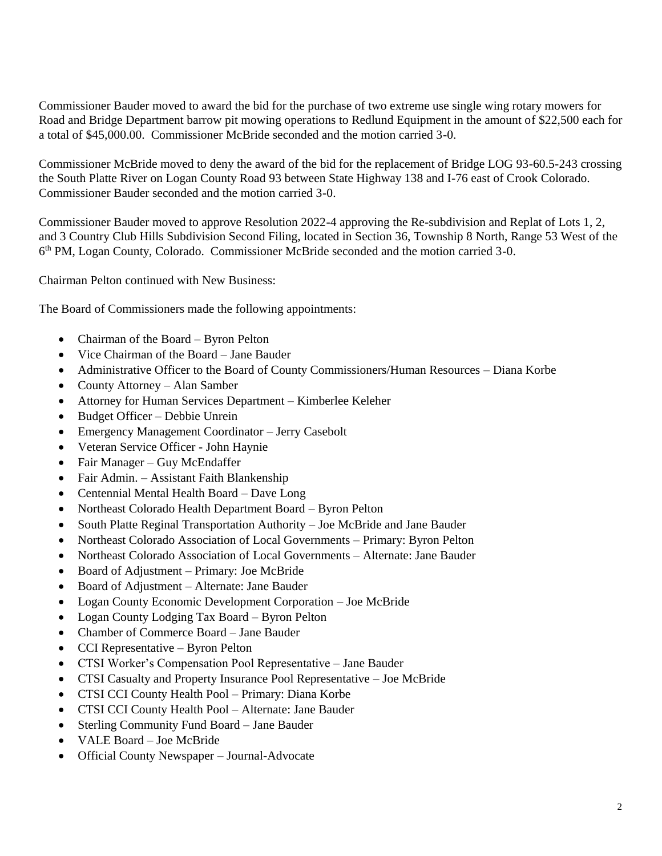Commissioner Bauder moved to award the bid for the purchase of two extreme use single wing rotary mowers for Road and Bridge Department barrow pit mowing operations to Redlund Equipment in the amount of \$22,500 each for a total of \$45,000.00. Commissioner McBride seconded and the motion carried 3-0.

Commissioner McBride moved to deny the award of the bid for the replacement of Bridge LOG 93-60.5-243 crossing the South Platte River on Logan County Road 93 between State Highway 138 and I-76 east of Crook Colorado. Commissioner Bauder seconded and the motion carried 3-0.

Commissioner Bauder moved to approve Resolution 2022-4 approving the Re-subdivision and Replat of Lots 1, 2, and 3 Country Club Hills Subdivision Second Filing, located in Section 36, Township 8 North, Range 53 West of the 6 th PM, Logan County, Colorado. Commissioner McBride seconded and the motion carried 3-0.

Chairman Pelton continued with New Business:

The Board of Commissioners made the following appointments:

- Chairman of the Board Byron Pelton
- Vice Chairman of the Board Jane Bauder
- Administrative Officer to the Board of County Commissioners/Human Resources Diana Korbe
- County Attorney Alan Samber
- Attorney for Human Services Department Kimberlee Keleher
- Budget Officer Debbie Unrein
- Emergency Management Coordinator Jerry Casebolt
- Veteran Service Officer John Haynie
- Fair Manager Guy McEndaffer
- Fair Admin. Assistant Faith Blankenship
- Centennial Mental Health Board Dave Long
- Northeast Colorado Health Department Board Byron Pelton
- South Platte Reginal Transportation Authority Joe McBride and Jane Bauder
- Northeast Colorado Association of Local Governments Primary: Byron Pelton
- Northeast Colorado Association of Local Governments Alternate: Jane Bauder
- Board of Adjustment Primary: Joe McBride
- Board of Adjustment Alternate: Jane Bauder
- Logan County Economic Development Corporation Joe McBride
- Logan County Lodging Tax Board Byron Pelton
- Chamber of Commerce Board Jane Bauder
- CCI Representative Byron Pelton
- CTSI Worker's Compensation Pool Representative Jane Bauder
- CTSI Casualty and Property Insurance Pool Representative Joe McBride
- CTSI CCI County Health Pool Primary: Diana Korbe
- CTSI CCI County Health Pool Alternate: Jane Bauder
- Sterling Community Fund Board Jane Bauder
- VALE Board Joe McBride
- Official County Newspaper Journal-Advocate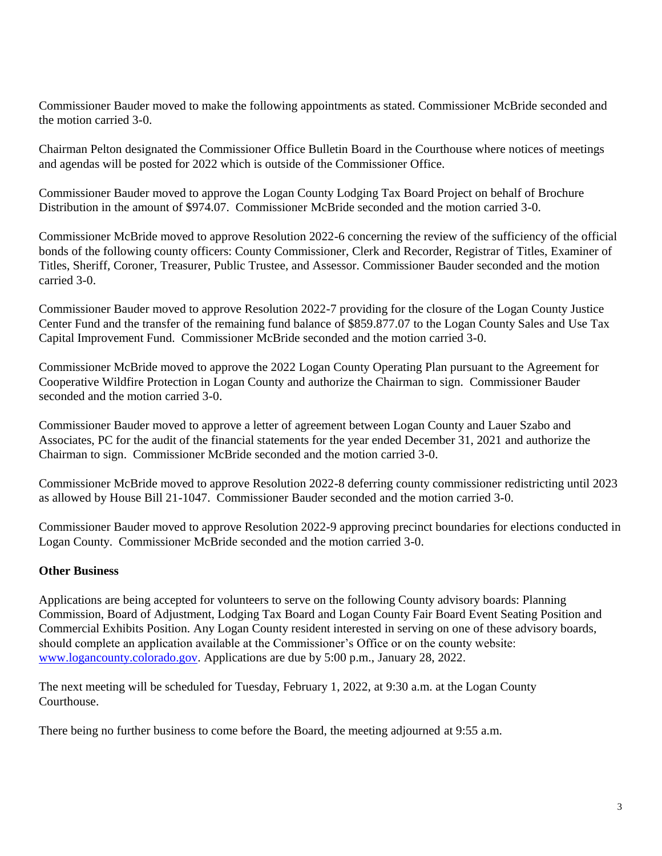Commissioner Bauder moved to make the following appointments as stated. Commissioner McBride seconded and the motion carried 3-0.

Chairman Pelton designated the Commissioner Office Bulletin Board in the Courthouse where notices of meetings and agendas will be posted for 2022 which is outside of the Commissioner Office.

Commissioner Bauder moved to approve the Logan County Lodging Tax Board Project on behalf of Brochure Distribution in the amount of \$974.07. Commissioner McBride seconded and the motion carried 3-0.

Commissioner McBride moved to approve Resolution 2022-6 concerning the review of the sufficiency of the official bonds of the following county officers: County Commissioner, Clerk and Recorder, Registrar of Titles, Examiner of Titles, Sheriff, Coroner, Treasurer, Public Trustee, and Assessor. Commissioner Bauder seconded and the motion carried 3-0.

Commissioner Bauder moved to approve Resolution 2022-7 providing for the closure of the Logan County Justice Center Fund and the transfer of the remaining fund balance of \$859.877.07 to the Logan County Sales and Use Tax Capital Improvement Fund. Commissioner McBride seconded and the motion carried 3-0.

Commissioner McBride moved to approve the 2022 Logan County Operating Plan pursuant to the Agreement for Cooperative Wildfire Protection in Logan County and authorize the Chairman to sign. Commissioner Bauder seconded and the motion carried 3-0.

Commissioner Bauder moved to approve a letter of agreement between Logan County and Lauer Szabo and Associates, PC for the audit of the financial statements for the year ended December 31, 2021 and authorize the Chairman to sign. Commissioner McBride seconded and the motion carried 3-0.

Commissioner McBride moved to approve Resolution 2022-8 deferring county commissioner redistricting until 2023 as allowed by House Bill 21-1047. Commissioner Bauder seconded and the motion carried 3-0.

Commissioner Bauder moved to approve Resolution 2022-9 approving precinct boundaries for elections conducted in Logan County. Commissioner McBride seconded and the motion carried 3-0.

## **Other Business**

Applications are being accepted for volunteers to serve on the following County advisory boards: Planning Commission, Board of Adjustment, Lodging Tax Board and Logan County Fair Board Event Seating Position and Commercial Exhibits Position. Any Logan County resident interested in serving on one of these advisory boards, should complete an application available at the Commissioner's Office or on the county website: [www.logancounty.colorado.gov.](http://www.logancounty.colorado.gov/) Applications are due by 5:00 p.m., January 28, 2022.

The next meeting will be scheduled for Tuesday, February 1, 2022, at 9:30 a.m. at the Logan County Courthouse.

There being no further business to come before the Board, the meeting adjourned at 9:55 a.m.